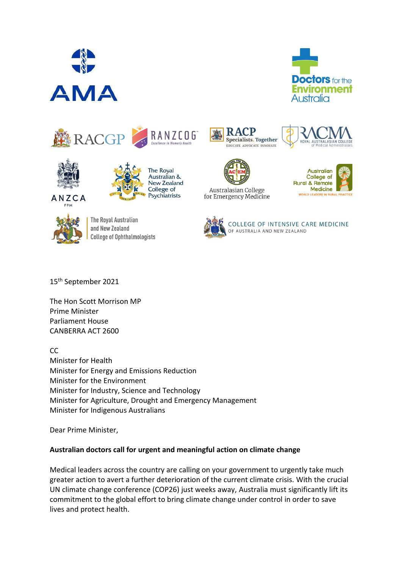













The Royal Australian and New Zealand **College of Ophthalmologists** 







Australasian College for Emergency Medicine





COLLEGE OF INTENSIVE CARE MEDICINE OF AUSTRALIA AND NEW ZEALAND

15th September 2021

The Hon Scott Morrison MP Prime Minister Parliament House CANBERRA ACT 2600

CC

Minister for Health Minister for Energy and Emissions Reduction Minister for the Environment Minister for Industry, Science and Technology Minister for Agriculture, Drought and Emergency Management Minister for Indigenous Australians

Dear Prime Minister,

## **Australian doctors call for urgent and meaningful action on climate change**

Medical leaders across the country are calling on your government to urgently take much greater action to avert a further deterioration of the current climate crisis. With the crucial UN climate change conference (COP26) just weeks away, Australia must significantly lift its commitment to the global effort to bring climate change under control in order to save lives and protect health.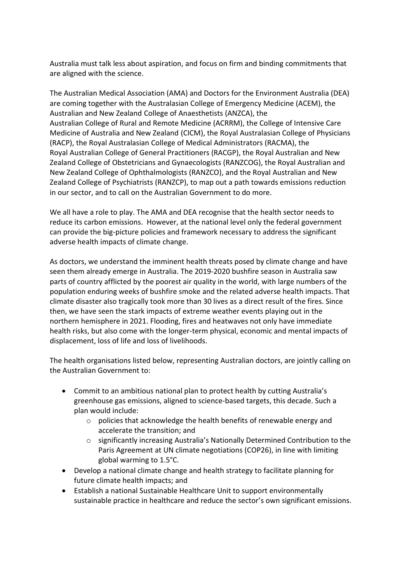Australia must talk less about aspiration, and focus on firm and binding commitments that are aligned with the science.

The Australian Medical Association (AMA) and Doctors for the Environment Australia (DEA) are coming together with the Australasian College of Emergency Medicine (ACEM), the Australian and New Zealand College of Anaesthetists (ANZCA), the Australian College of Rural and Remote Medicine (ACRRM), the College of Intensive Care Medicine of Australia and New Zealand (CICM), the Royal Australasian College of Physicians (RACP), the Royal Australasian College of Medical Administrators (RACMA), the Royal Australian College of General Practitioners (RACGP), the Royal Australian and New Zealand College of Obstetricians and Gynaecologists (RANZCOG), the Royal Australian and New Zealand College of Ophthalmologists (RANZCO), and the Royal Australian and New Zealand College of Psychiatrists (RANZCP), to map out a path towards emissions reduction in our sector, and to call on the Australian Government to do more.

We all have a role to play. The AMA and DEA recognise that the health sector needs to reduce its carbon emissions. However, at the national level only the federal government can provide the big-picture policies and framework necessary to address the significant adverse health impacts of climate change.

As doctors, we understand the imminent health threats posed by climate change and have seen them already emerge in Australia. The 2019-2020 bushfire season in Australia saw parts of country afflicted by the poorest air quality in the world, with large numbers of the population enduring weeks of bushfire smoke and the related adverse health impacts. That climate disaster also tragically took more than 30 lives as a direct result of the fires. Since then, we have seen the stark impacts of extreme weather events playing out in the northern hemisphere in 2021. Flooding, fires and heatwaves not only have immediate health risks, but also come with the longer-term physical, economic and mental impacts of displacement, loss of life and loss of livelihoods.

The health organisations listed below, representing Australian doctors, are jointly calling on the Australian Government to:

- Commit to an ambitious national plan to protect health by cutting Australia's greenhouse gas emissions, aligned to science-based targets, this decade. Such a plan would include:
	- o policies that acknowledge the health benefits of renewable energy and accelerate the transition; and
	- o significantly increasing Australia's Nationally Determined Contribution to the Paris Agreement at UN climate negotiations (COP26), in line with limiting global warming to 1.5°C.
- Develop a national climate change and health strategy to facilitate planning for future climate health impacts; and
- Establish a national Sustainable Healthcare Unit to support environmentally sustainable practice in healthcare and reduce the sector's own significant emissions.